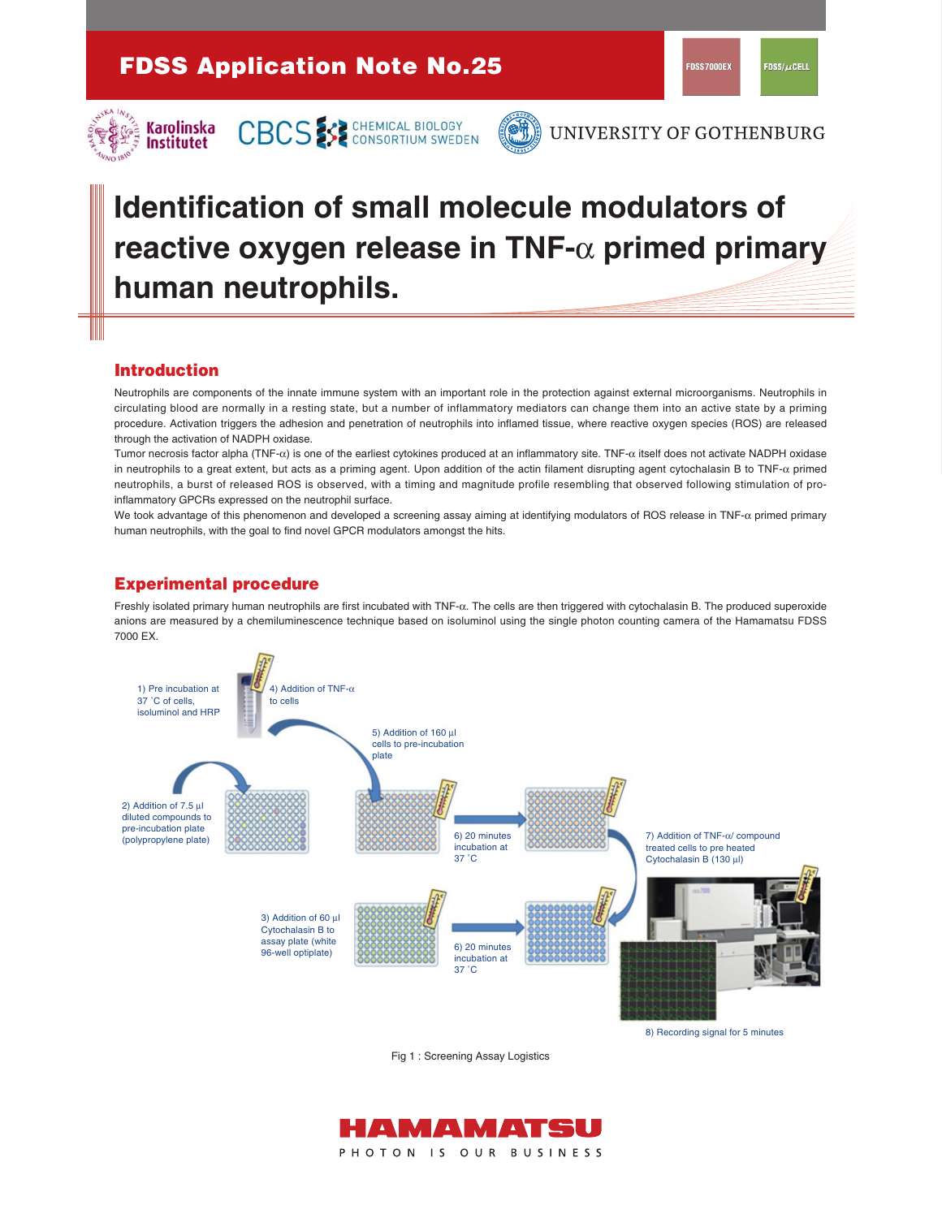

CBCS SE CHEMICAL BIOLOGY



UNIVERSITY OF GOTHENBURG

# **Identification of small molecule modulators of reactive oxygen release in TNF-**α **primed primary human neutrophils.**

# **Introduction**

Neutrophils are components of the innate immune system with an important role in the protection against external microorganisms. Neutrophils in circulating blood are normally in a resting state, but a number of inflammatory mediators can change them into an active state by a priming procedure. Activation triggers the adhesion and penetration of neutrophils into inflamed tissue, where reactive oxygen species (ROS) are released through the activation of NADPH oxidase.

Tumor necrosis factor alpha (TNF-α) is one of the earliest cytokines produced at an inflammatory site. TNF-α itself does not activate NADPH oxidase in neutrophils to a great extent, but acts as a priming agent. Upon addition of the actin filament disrupting agent cytochalasin B to TNF- $\alpha$  primed neutrophils, a burst of released ROS is observed, with a timing and magnitude profile resembling that observed following stimulation of proinflammatory GPCRs expressed on the neutrophil surface.

We took advantage of this phenomenon and developed a screening assay aiming at identifying modulators of ROS release in TNF- $\alpha$  primed primary human neutrophils, with the goal to find novel GPCR modulators amongst the hits.

# **Experimental procedure**

Freshly isolated primary human neutrophils are first incubated with TNF-α. The cells are then triggered with cytochalasin B. The produced superoxide anions are measured by a chemiluminescence technique based on isoluminol using the single photon counting camera of the Hamamatsu FDSS 7000 EX.



Fig 1 : Screening Assay Logistics